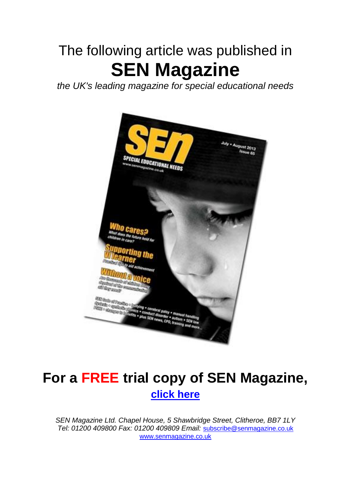# The following article was published in **SEN Magazine**

*the UK's leading magazine for special educational needs*



## **For a FREE trial copy of SEN Magazine, [click here](http://www.senmagazine.co.uk/freetrial?custom_10=SEN65)**

*SEN Magazine Ltd. Chapel House, 5 Shawbridge Street, Clitheroe, BB7 1LY Tel: 01200 409800 Fax: 01200 409809 Email:* [subscribe@senmagazine.co.uk](mailto:subscribe@senmagazine.co.uk) [www.senmagazine.co.uk](http://www.senmagazine.co.uk/)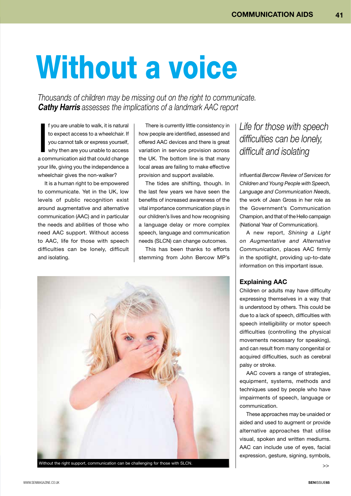# Without a voice

*Thousands of children may be missing out on the right to communicate.*  **Cathy Harris** *assesses the implications of a landmark AAC report*

I f you are unable to walk, it is natural<br>to expect access to a wheelchair. If<br>you cannot talk or express yourself,<br>why then are you unable to access<br>a communication aid that could change f you are unable to walk, it is natural to expect access to a wheelchair. If you cannot talk or express yourself, why then are you unable to access your life, giving you the independence a wheelchair gives the non-walker?

It is a human right to be empowered to communicate. Yet in the UK, low levels of public recognition exist around augmentative and alternative communication (AAC) and in particular the needs and abilities of those who need AAC support. Without access to AAC, life for those with speech difficulties can be lonely, difficult and isolating.

There is currently little consistency in how people are identified, assessed and offered AAC devices and there is great variation in service provision across the UK. The bottom line is that many local areas are failing to make effective provision and support available.

The tides are shifting, though. In the last few years we have seen the benefits of increased awareness of the vital importance communication plays in our children's lives and how recognising a language delay or more complex speech, language and communication needs (SLCN) can change outcomes.

This has been thanks to efforts stemming from John Bercow MP's



Without the right support, communication can be challenging for those with SLCN.

## *Life for those with speech difficulties can be lonely, difficult and isolating*

influential *Bercow Review of Services for Children and Young People with Speech, Language and Communication Needs*, the work of Jean Gross in her role as the Government's Communication Champion, and that of the Hello campaign (National Year of Communication).

A new report, *Shining a Light on Augmentative and Alternative Communication*, places AAC firmly in the spotlight, providing up-to-date information on this important issue.

#### **Explaining AAC**

Children or adults may have difficulty expressing themselves in a way that is understood by others. This could be due to a lack of speech, difficulties with speech intelligibility or motor speech difficulties (controlling the physical movements necessary for speaking), and can result from many congenital or acquired difficulties, such as cerebral palsy or stroke.

AAC covers a range of strategies, equipment, systems, methods and techniques used by people who have impairments of speech, language or communication.

These approaches may be unaided or aided and used to augment or provide alternative approaches that utilise visual, spoken and written mediums. AAC can include use of eyes, facial expression, gesture, signing, symbols,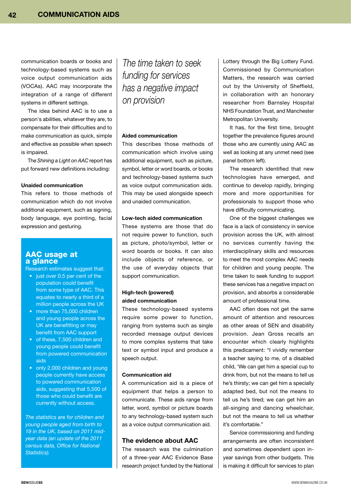communication boards or books and technology-based systems such as voice output communication aids (VOCAs). AAC may incorporate the integration of a range of different systems in different settings.

The idea behind AAC is to use a person's abilities, whatever they are, to compensate for their difficulties and to make communication as quick, simple and effective as possible when speech is impaired.

The *Shining a Light on AAC* report has put forward new definitions including:

#### **Unaided communication**

This refers to those methods of communication which do not involve additional equipment, such as signing, body language, eye pointing, facial expression and gesturing.

#### AAC usage at a glance

Research estimates suggest that:

- just over 0.5 per cent of the population could benefit from some type of AAC. This equates to nearly a third of a million people across the UK
- more than 75,000 children and young people across the UK are benefitting or may benefit from AAC support
- of these, 7,500 children and young people could benefit from powered communication aids
- only 2,000 children and young people currently have access to powered communication aids, suggesting that 5,500 of those who could benefit are currently without access.

*The statistics are for children and young people aged from birth to 19 in the UK, based on 2011 midyear data (an update of the 2011 census data, Office for National Statistics).*

### *The time taken to seek funding for services has a negative impact on provision*

#### **Aided communication**

This describes those methods of communication which involve using additional equipment, such as picture, symbol, letter or word boards, or books and technology-based systems such as voice output communication aids. This may be used alongside speech and unaided communication.

#### **Low-tech aided communication**

These systems are those that do not require power to function, such as picture, photo/symbol, letter or word boards or books. It can also include objects of reference, or the use of everyday objects that support communication.

#### **High-tech (powered) aided communication**

These technology-based systems require some power to function, ranging from systems such as single recorded message output devices to more complex systems that take text or symbol input and produce a speech output.

#### **Communication aid**

A communication aid is a piece of equipment that helps a person to communicate. These aids range from letter, word, symbol or picture boards to any technology-based system such as a voice output communication aid.

#### **The evidence about AAC**

The research was the culmination of a three-year AAC Evidence Base research project funded by the National

Lottery through the Big Lottery Fund. Commissioned by Communication Matters, the research was carried out by the University of Sheffield, in collaboration with an honorary researcher from Barnsley Hospital NHS Foundation Trust, and Manchester Metropolitan University.

It has, for the first time, brought together the prevalence figures around those who are currently using AAC as well as looking at any unmet need (see panel bottom left).

The research identified that new technologies have emerged, and continue to develop rapidly, bringing more and more opportunities for professionals to support those who have difficulty communicating.

One of the biggest challenges we face is a lack of consistency in service provision across the UK, with almost no services currently having the interdisciplinary skills and resources to meet the most complex AAC needs for children and young people. The time taken to seek funding to support these services has a negative impact on provision, and absorbs a considerable amount of professional time.

AAC often does not get the same amount of attention and resources as other areas of SEN and disability provision. Jean Gross recalls an encounter which clearly highlights this predicament: "I vividly remember a teacher saying to me, of a disabled child, 'We can get him a special cup to drink from, but not the means to tell us he's thirsty; we can get him a specially adapted bed, but not the means to tell us he's tired; we can get him an all-singing and dancing wheelchair, but not the means to tell us whether it's comfortable."

Service commissioning and funding arrangements are often inconsistent and sometimes dependent upon inyear savings from other budgets. This is making it difficult for services to plan